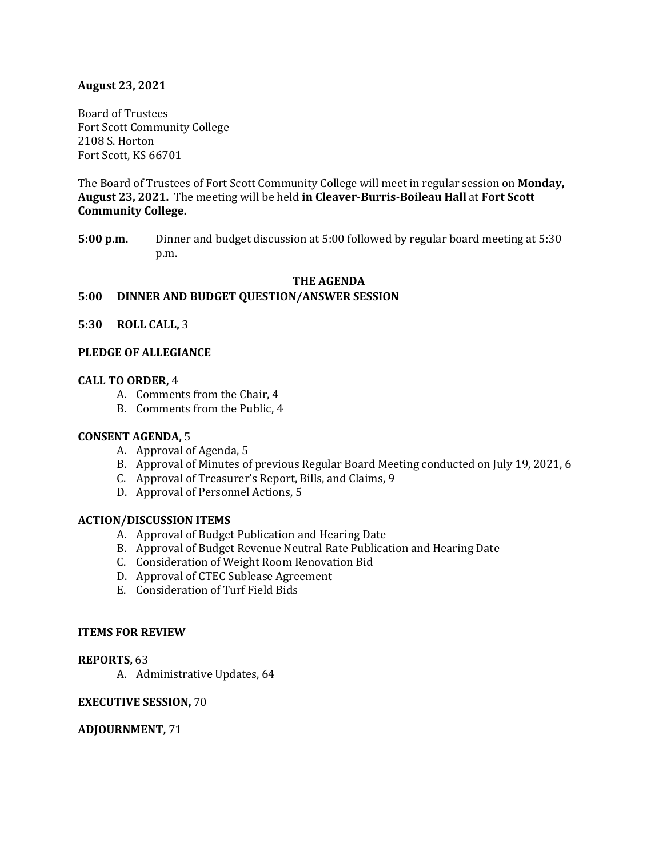### **August 23, 2021**

Board of Trustees Fort Scott Community College 2108 S. Horton Fort Scott, KS 66701

The Board of Trustees of Fort Scott Community College will meet in regular session on **Monday, August 23, 2021.** The meeting will be held **in Cleaver-Burris-Boileau Hall** at **Fort Scott Community College.** 

**5:00 p.m.** Dinner and budget discussion at 5:00 followed by regular board meeting at 5:30 p.m.

#### **THE AGENDA**

#### **5:00 DINNER AND BUDGET QUESTION/ANSWER SESSION**

### **5:30 ROLL CALL,** 3

#### **PLEDGE OF ALLEGIANCE**

#### **CALL TO ORDER,** 4

- A. Comments from the Chair, 4
- B. Comments from the Public, 4

#### **CONSENT AGENDA,** 5

- A. Approval of Agenda, 5
- B. Approval of Minutes of previous Regular Board Meeting conducted on July 19, 2021, 6
- C. Approval of Treasurer's Report, Bills, and Claims, 9
- D. Approval of Personnel Actions, 5

#### **ACTION/DISCUSSION ITEMS**

- A. Approval of Budget Publication and Hearing Date
- B. Approval of Budget Revenue Neutral Rate Publication and Hearing Date
- C. Consideration of Weight Room Renovation Bid
- D. Approval of CTEC Sublease Agreement
- E. Consideration of Turf Field Bids

#### **ITEMS FOR REVIEW**

#### **REPORTS,** 63

A. Administrative Updates, 64

#### **EXECUTIVE SESSION,** 70

#### **ADJOURNMENT,** 71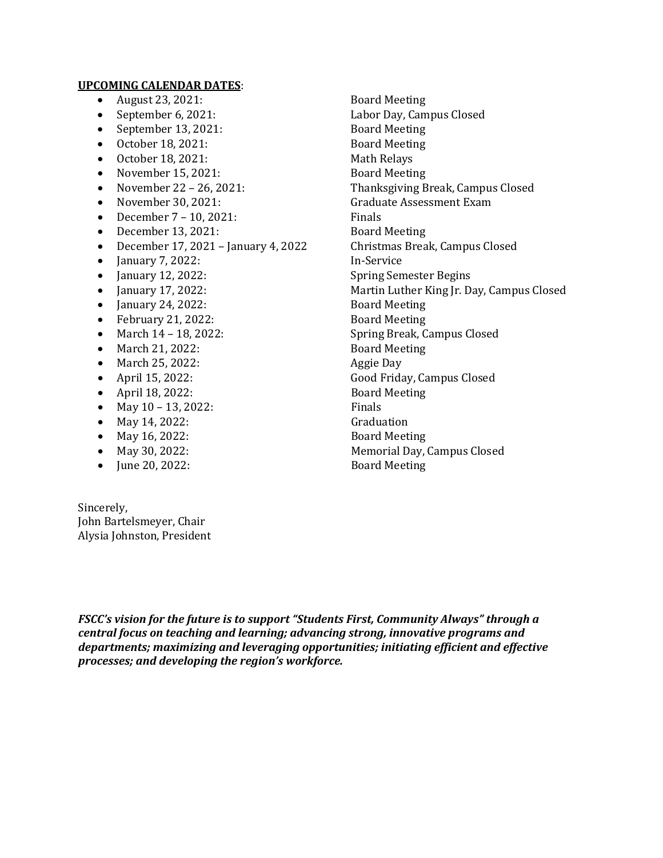#### **UPCOMING CALENDAR DATES**:

- 
- 
- 
- 
- 
- November 15, 2021:<br>• November 22 26, 2021:
- 
- 
- 
- 
- December 17, 2021 January 4, 2022 Christmas<br>• Ianuary 7, 2022: In-Service
- January 7, 2022:<br>• January 12, 2022:
- 
- 
- 
- February 21, 2022:<br>• March 14 18, 2022:
- 
- March 21, 2022: Board Meeting Property Aggie Day
- March 25, 2022:<br>• April 15, 2022:
- 
- April 18, 2022: Board<br>• May 10 13. 2022: Finals
- May 10 13, 2022: Finals<br>• May 14, 2022: Graduation
- 
- May 16, 2022:<br>• May 30, 2022:
- 
- June 20, 2022:

Sincerely, John Bartelsmeyer, Chair Alysia Johnston, President

• August 23, 2021: Board Meeting<br>• September 6, 2021: Labor Day, Cam Labor Day, Campus Closed<br>Board Meeting • September 13, 2021: Board Meeting<br>• October 18, 2021: Board Meeting • October 18, 2021: Board Meetin<br>• October 18, 2021: Math Relays • October 18, 2021: Math Relays<br>• November 15, 2021: Board Meeting • November 22 – 26, 2021: Thanksgiving Break, Campus Closed Graduate Assessment Exam<br>Finals • December 7 – 10, 2021:<br>• December 13, 2021: Board Meeting • December 13, 2021: Board Meeting<br>• December 17, 2021 – January 4, 2022 Christmas Break, Campus Closed • January 12, 2022: Spring Semester Begins<br>• January 17, 2022: Spring Martin Luther King Jr. D. Martin Luther King Jr. Day, Campus Closed<br>Board Meeting • January 24, 2022: Board Meeting<br>• February 21, 2022: Board Meeting Spring Break, Campus Closed<br>Board Meeting Good Friday, Campus Closed<br>Board Meeting • May 14, 2022:<br>• May 16, 2022: Graduation Board Meeting Memorial Day, Campus Closed<br>Board Meeting

*FSCC's vision for the future is to support "Students First, Community Always" through a central focus on teaching and learning; advancing strong, innovative programs and departments; maximizing and leveraging opportunities; initiating efficient and effective processes; and developing the region's workforce.*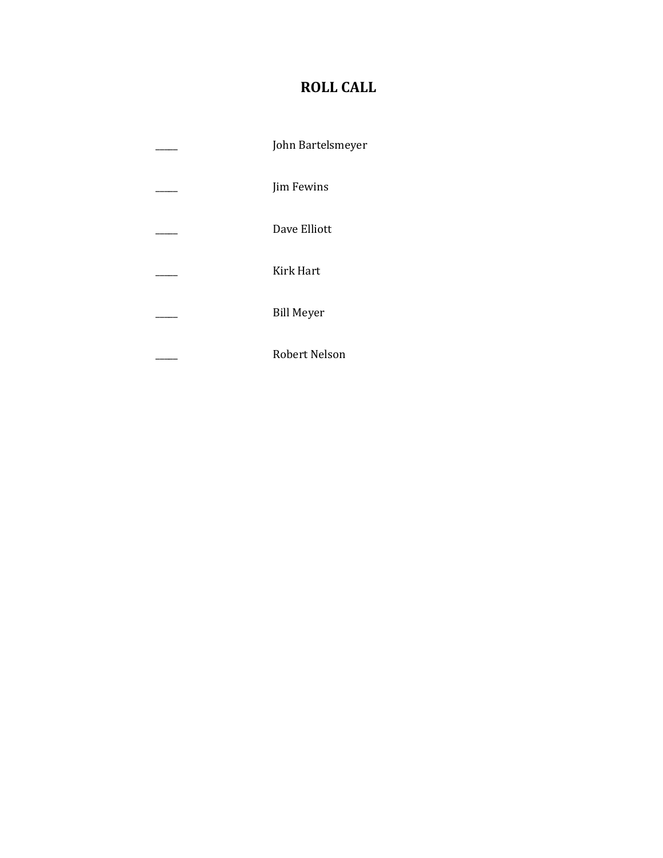# **ROLL CALL**

\_\_\_\_\_ John Bartelsmeyer \_\_\_\_\_ Jim Fewins \_\_\_\_\_ Dave Elliott \_\_\_\_\_ Kirk Hart \_\_\_\_\_ Bill Meyer \_\_\_\_\_ Robert Nelson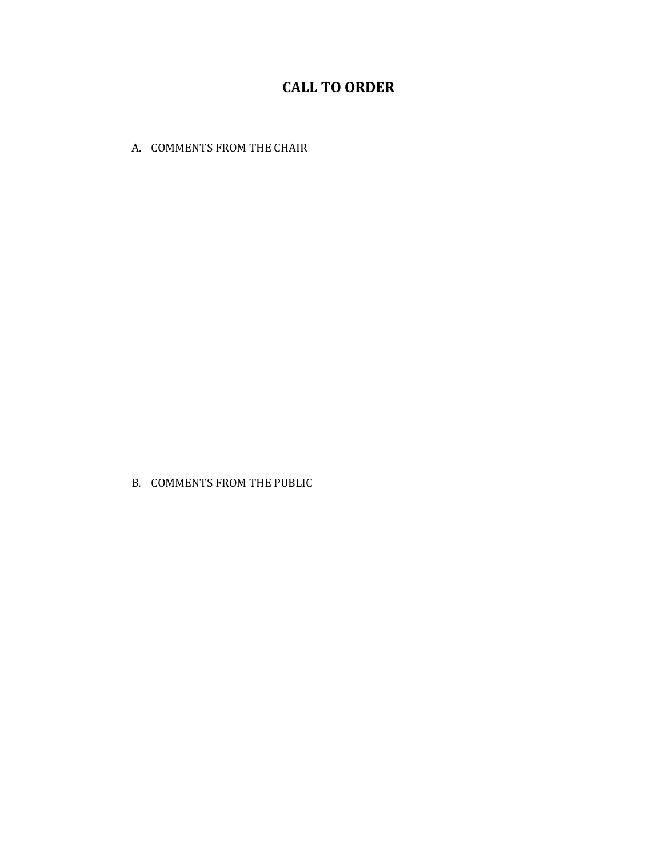## **CALL TO ORDER**

A. COMMENTS FROM THE CHAIR

B. COMMENTS FROM THE PUBLIC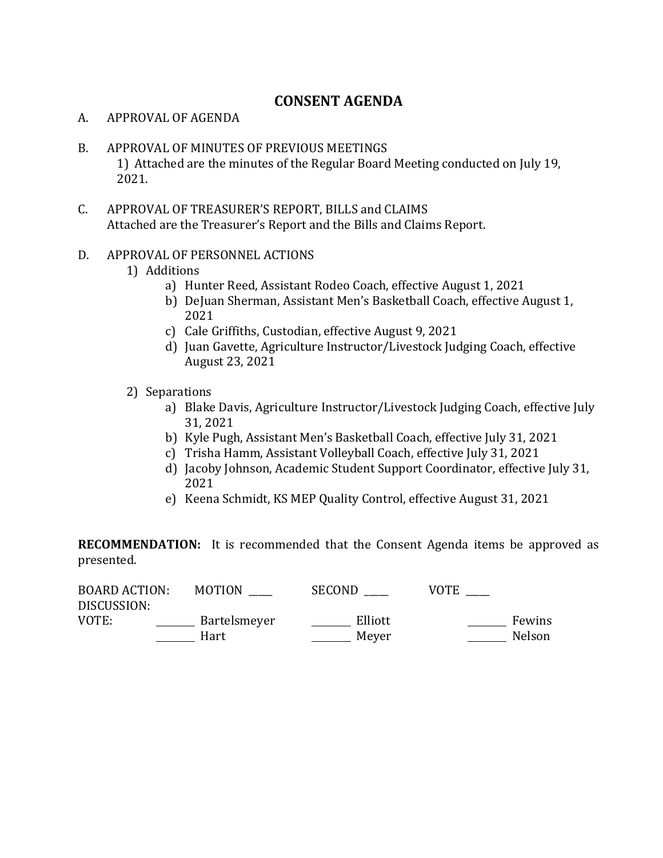## **CONSENT AGENDA**

## A. APPROVAL OF AGENDA

- B. APPROVAL OF MINUTES OF PREVIOUS MEETINGS 1) Attached are the minutes of the Regular Board Meeting conducted on July 19, 2021.
- C. APPROVAL OF TREASURER'S REPORT, BILLS and CLAIMS Attached are the Treasurer's Report and the Bills and Claims Report.

## D. APPROVAL OF PERSONNEL ACTIONS

- 1) Additions
	- a) Hunter Reed, Assistant Rodeo Coach, effective August 1, 2021
	- b) DeJuan Sherman, Assistant Men's Basketball Coach, effective August 1, 2021
	- c) Cale Griffiths, Custodian, effective August 9, 2021
	- d) Juan Gavette, Agriculture Instructor/Livestock Judging Coach, effective August 23, 2021
- 2) Separations
	- a) Blake Davis, Agriculture Instructor/Livestock Judging Coach, effective July 31, 2021
	- b) Kyle Pugh, Assistant Men's Basketball Coach, effective July 31, 2021
	- c) Trisha Hamm, Assistant Volleyball Coach, effective July 31, 2021
	- d) Jacoby Johnson, Academic Student Support Coordinator, effective July 31, 2021
	- e) Keena Schmidt, KS MEP Quality Control, effective August 31, 2021

**RECOMMENDATION:** It is recommended that the Consent Agenda items be approved as presented.

| <b>BOARD ACTION:</b><br>DISCUSSION: | <b>MOTION</b> | SECOND  | <b>VOTE</b> |
|-------------------------------------|---------------|---------|-------------|
| VOTE:                               | Bartelsmeyer  | Elliott | Fewins      |
|                                     | Hart          | Mever   | Nelson      |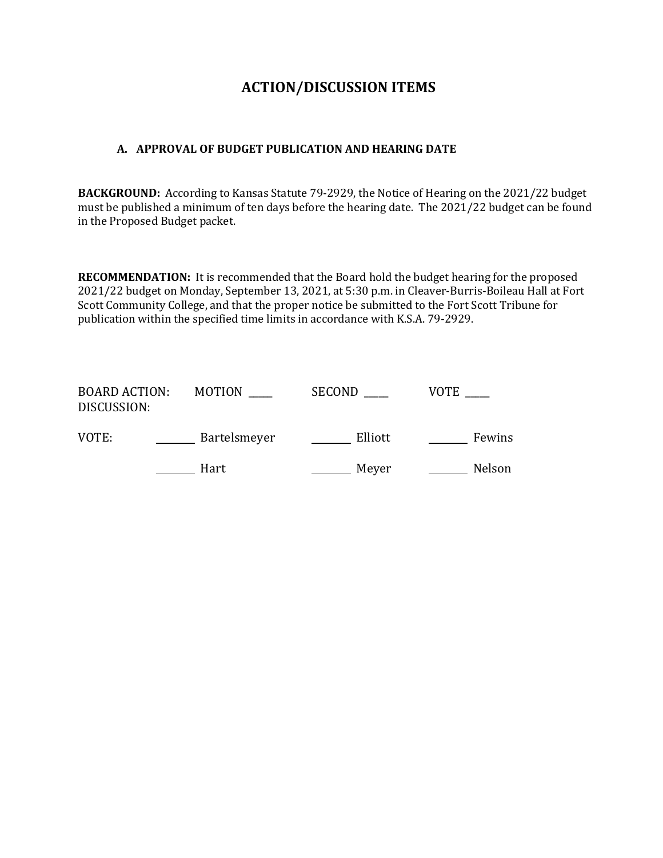## **ACTION/DISCUSSION ITEMS**

## **A. APPROVAL OF BUDGET PUBLICATION AND HEARING DATE**

**BACKGROUND:** According to Kansas Statute 79-2929, the Notice of Hearing on the 2021/22 budget must be published a minimum of ten days before the hearing date. The 2021/22 budget can be found in the Proposed Budget packet.

**RECOMMENDATION:** It is recommended that the Board hold the budget hearing for the proposed 2021/22 budget on Monday, September 13, 2021, at 5:30 p.m. in Cleaver-Burris-Boileau Hall at Fort Scott Community College, and that the proper notice be submitted to the Fort Scott Tribune for publication within the specified time limits in accordance with K.S.A. 79-2929.

| <b>BOARD ACTION:</b><br>DISCUSSION: | <b>MOTION</b> | SECOND  | <b>VOTE</b> |
|-------------------------------------|---------------|---------|-------------|
| VOTE:                               | Bartelsmeyer  | Elliott | Fewins      |
|                                     | Hart          | Meyer   | Nelson      |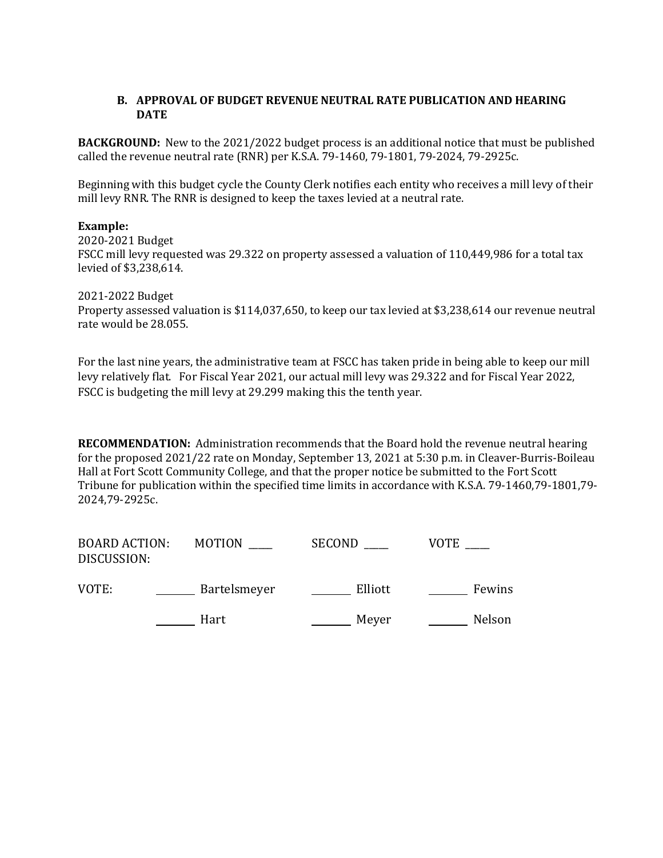## **B. APPROVAL OF BUDGET REVENUE NEUTRAL RATE PUBLICATION AND HEARING DATE**

**BACKGROUND:** New to the 2021/2022 budget process is an additional notice that must be published called the revenue neutral rate (RNR) per K.S.A. 79-1460, 79-1801, 79-2024, 79-2925c.

Beginning with this budget cycle the County Clerk notifies each entity who receives a mill levy of their mill levy RNR. The RNR is designed to keep the taxes levied at a neutral rate.

### **Example:**

2020-2021 Budget FSCC mill levy requested was 29.322 on property assessed a valuation of 110,449,986 for a total tax levied of \$3,238,614.

2021-2022 Budget

Property assessed valuation is \$114,037,650, to keep our tax levied at \$3,238,614 our revenue neutral rate would be 28.055.

For the last nine years, the administrative team at FSCC has taken pride in being able to keep our mill levy relatively flat. For Fiscal Year 2021, our actual mill levy was 29.322 and for Fiscal Year 2022, FSCC is budgeting the mill levy at 29.299 making this the tenth year.

**RECOMMENDATION:** Administration recommends that the Board hold the revenue neutral hearing for the proposed 2021/22 rate on Monday, September 13, 2021 at 5:30 p.m. in Cleaver-Burris-Boileau Hall at Fort Scott Community College, and that the proper notice be submitted to the Fort Scott Tribune for publication within the specified time limits in accordance with K.S.A. 79-1460,79-1801,79- 2024,79-2925c.

| <b>BOARD ACTION:</b><br>DISCUSSION: | <b>MOTION</b> | <b>SECOND</b> | VOTE   |
|-------------------------------------|---------------|---------------|--------|
| VOTE:                               | Bartelsmeyer  | Elliott       | Fewins |
|                                     | Hart          | Meyer         | Nelson |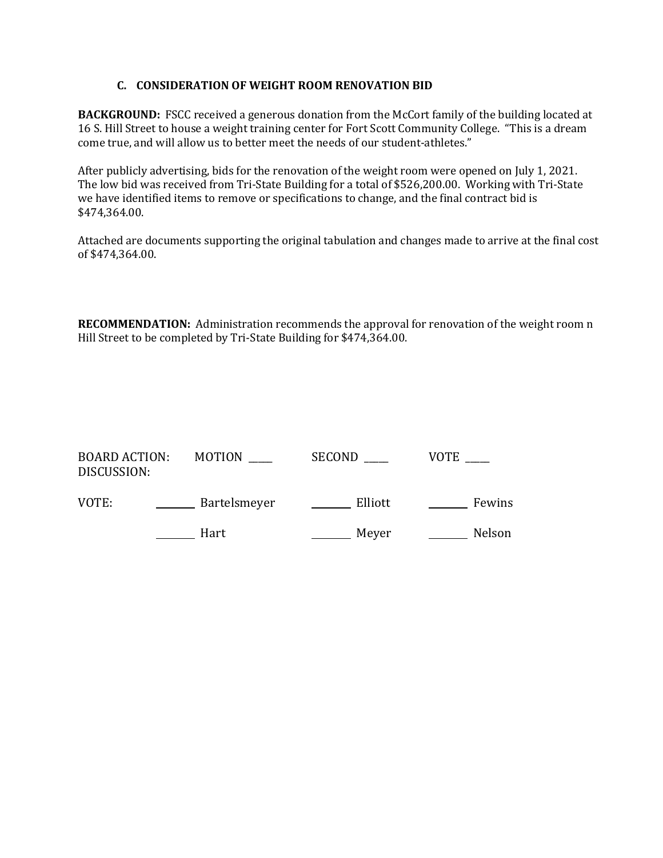### **C. CONSIDERATION OF WEIGHT ROOM RENOVATION BID**

**BACKGROUND:** FSCC received a generous donation from the McCort family of the building located at 16 S. Hill Street to house a weight training center for Fort Scott Community College. "This is a dream come true, and will allow us to better meet the needs of our student-athletes."

After publicly advertising, bids for the renovation of the weight room were opened on July 1, 2021. The low bid was received from Tri-State Building for a total of \$526,200.00. Working with Tri-State we have identified items to remove or specifications to change, and the final contract bid is \$474,364.00.

Attached are documents supporting the original tabulation and changes made to arrive at the final cost of \$474,364.00.

**RECOMMENDATION:** Administration recommends the approval for renovation of the weight room n Hill Street to be completed by Tri-State Building for \$474,364.00.

| <b>BOARD ACTION:</b><br>DISCUSSION: | MOTION       | SECOND  | VOTE   |
|-------------------------------------|--------------|---------|--------|
| VOTE:                               | Bartelsmeyer | Elliott | Fewins |
|                                     | Hart         | Meyer   | Nelson |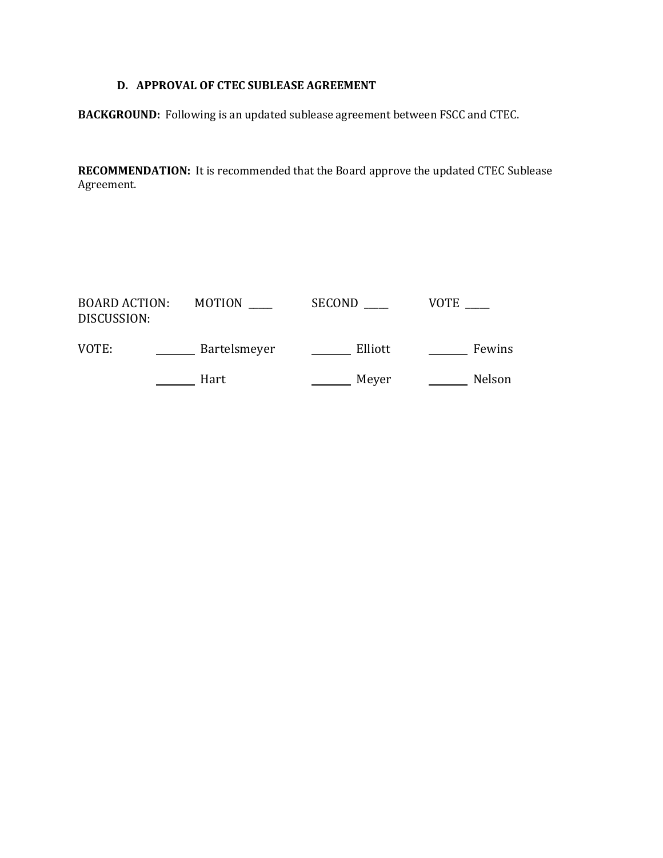## **D. APPROVAL OF CTEC SUBLEASE AGREEMENT**

**BACKGROUND:** Following is an updated sublease agreement between FSCC and CTEC.

**RECOMMENDATION:** It is recommended that the Board approve the updated CTEC Sublease Agreement.

| <b>BOARD ACTION:</b><br>DISCUSSION: | <b>MOTION</b> | <b>SECOND</b> | VOTE   |
|-------------------------------------|---------------|---------------|--------|
| VOTE:                               | Bartelsmeyer  | Elliott       | Fewins |
|                                     | Hart          | Meyer         | Nelson |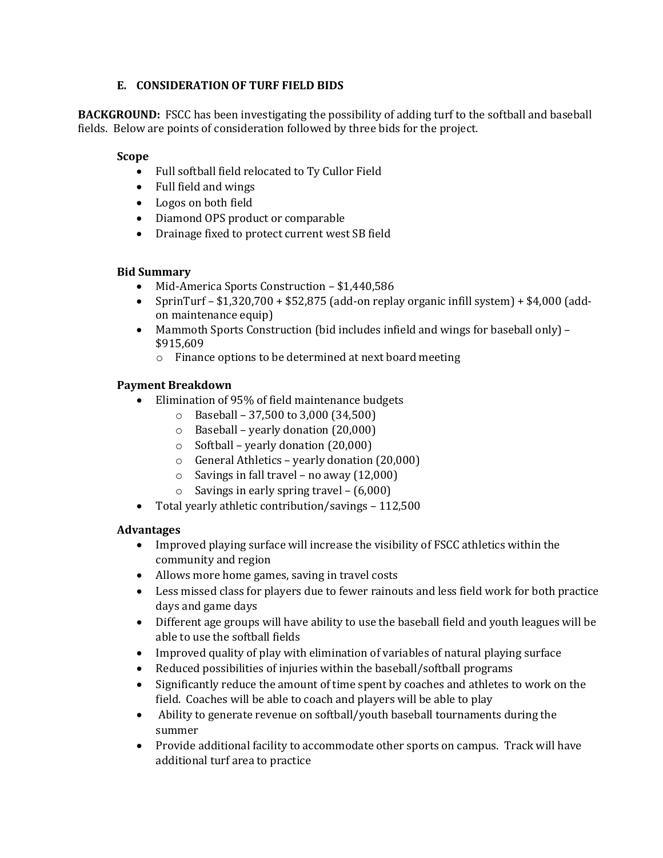## **E. CONSIDERATION OF TURF FIELD BIDS**

**BACKGROUND:** FSCC has been investigating the possibility of adding turf to the softball and baseball fields. Below are points of consideration followed by three bids for the project.

### **Scope**

- Full softball field relocated to Ty Cullor Field
- Full field and wings
- Logos on both field
- Diamond OPS product or comparable
- Drainage fixed to protect current west SB field

## **Bid Summary**

- Mid-America Sports Construction \$1,440,586<br>• SprinTurf \$1.320.700 + \$52.875 (add-on repla
- SprinTurf \$1,320,700 + \$52,875 (add-on replay organic infill system) + \$4,000 (addon maintenance equip)
- Mammoth Sports Construction (bid includes infield and wings for baseball only) \$915,609
	- o Finance options to be determined at next board meeting

## **Payment Breakdown**

- Elimination of 95% of field maintenance budgets
	- $\circ$  Baseball 37,500 to 3,000 (34,500)
	- o Baseball yearly donation (20,000)
	- $\circ$  Softball yearly donation (20,000)
	- $\circ$  General Athletics yearly donation (20,000)
	- $\circ$  Savings in fall travel no away (12,000)
	- $\circ$  Savings in early spring travel (6,000)
- Total yearly athletic contribution/savings 112,500

## **Advantages**

- Improved playing surface will increase the visibility of FSCC athletics within the community and region
- Allows more home games, saving in travel costs
- Less missed class for players due to fewer rainouts and less field work for both practice days and game days
- Different age groups will have ability to use the baseball field and youth leagues will be able to use the softball fields
- Improved quality of play with elimination of variables of natural playing surface
- Reduced possibilities of injuries within the baseball/softball programs
- Significantly reduce the amount of time spent by coaches and athletes to work on the field. Coaches will be able to coach and players will be able to play
- Ability to generate revenue on softball/youth baseball tournaments during the summer
- Provide additional facility to accommodate other sports on campus. Track will have additional turf area to practice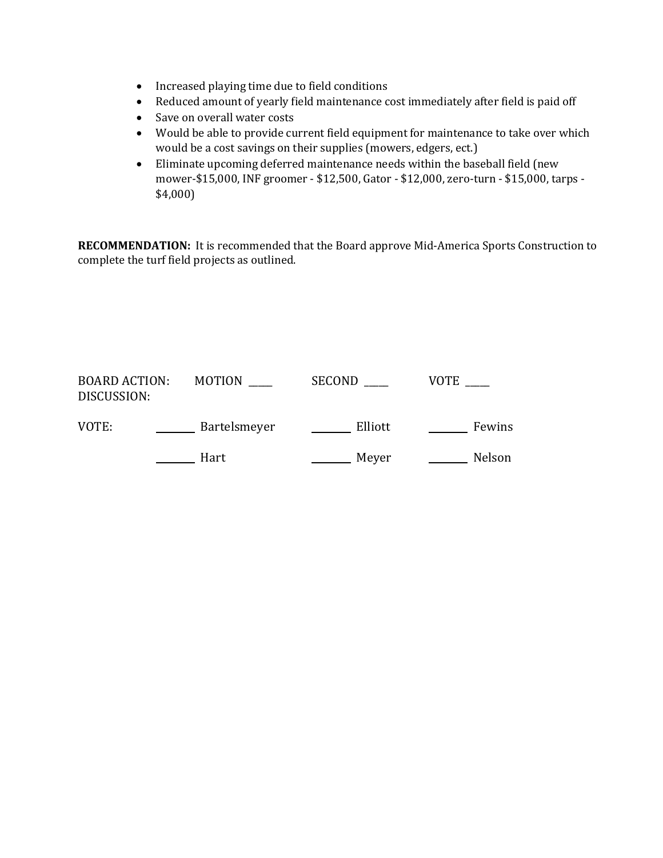- Increased playing time due to field conditions
- Reduced amount of yearly field maintenance cost immediately after field is paid off
- Save on overall water costs
- Would be able to provide current field equipment for maintenance to take over which would be a cost savings on their supplies (mowers, edgers, ect.)
- Eliminate upcoming deferred maintenance needs within the baseball field (new mower-\$15,000, INF groomer - \$12,500, Gator - \$12,000, zero-turn - \$15,000, tarps - \$4,000)

**RECOMMENDATION:** It is recommended that the Board approve Mid-America Sports Construction to complete the turf field projects as outlined.

| <b>BOARD ACTION:</b><br>DISCUSSION: | <b>MOTION</b> | <b>SECOND</b> | <b>VOTE</b> |
|-------------------------------------|---------------|---------------|-------------|
| VOTE:                               | Bartelsmeyer  | Elliott       | Fewins      |
|                                     | Hart          | Meyer         | Nelson      |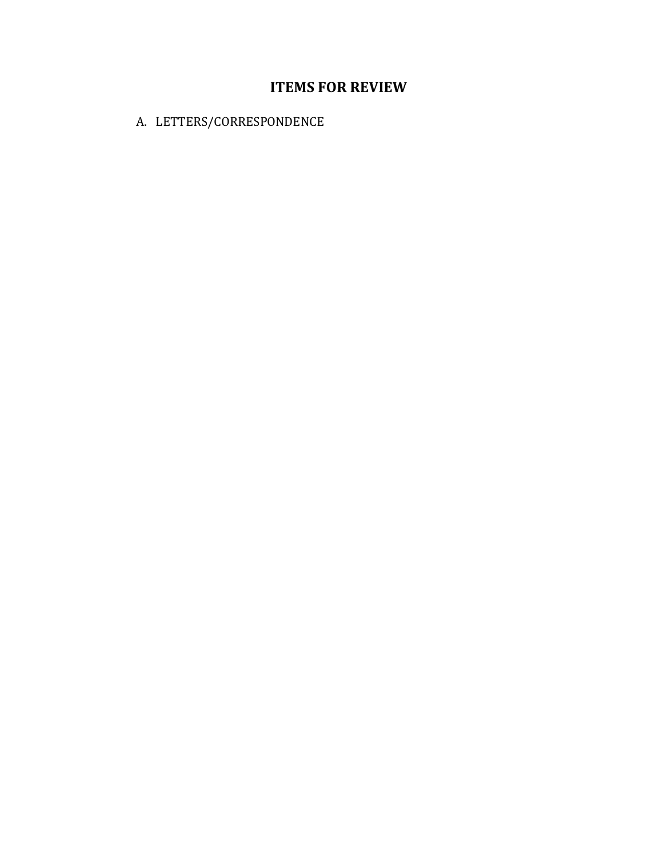## **ITEMS FOR REVIEW**

A. LETTERS/CORRESPONDENCE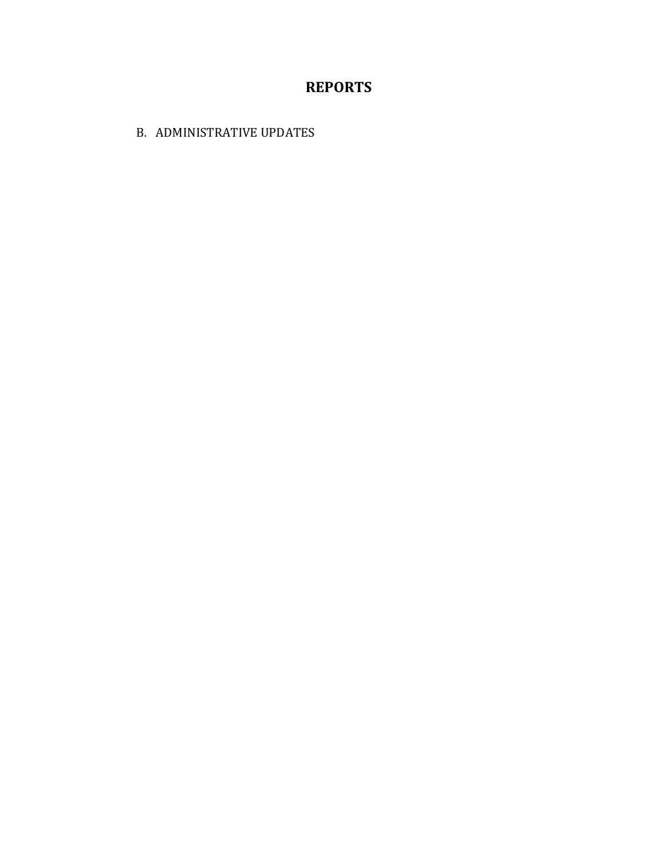## **REPORTS**

B. ADMINISTRATIVE UPDATES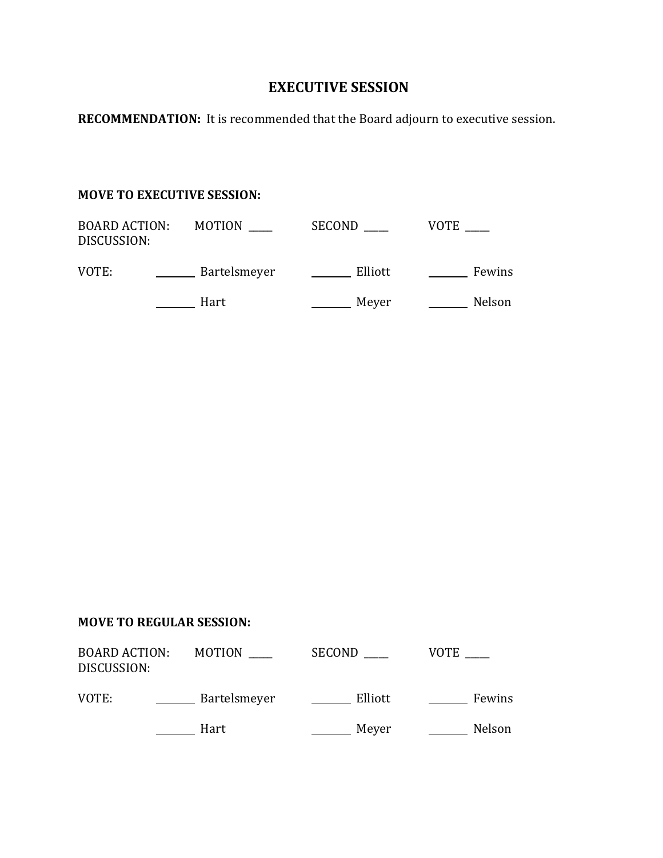## **EXECUTIVE SESSION**

**RECOMMENDATION:** It is recommended that the Board adjourn to executive session.

## **MOVE TO EXECUTIVE SESSION:**

| <b>BOARD ACTION:</b><br>DISCUSSION: | <b>MOTION</b> | <b>SECOND</b> | VOTE   |
|-------------------------------------|---------------|---------------|--------|
| VOTE:                               | Bartelsmeyer  | Elliott       | Fewins |
|                                     | Hart          | Meyer         | Nelson |

## **MOVE TO REGULAR SESSION:**

| <b>BOARD ACTION:</b><br>DISCUSSION: | <b>MOTION</b> | <b>SECOND</b> | <b>VOTE</b> |
|-------------------------------------|---------------|---------------|-------------|
| VOTE:                               | Bartelsmeyer  | Elliott       | Fewins      |
|                                     | Hart          | Meyer         | Nelson      |